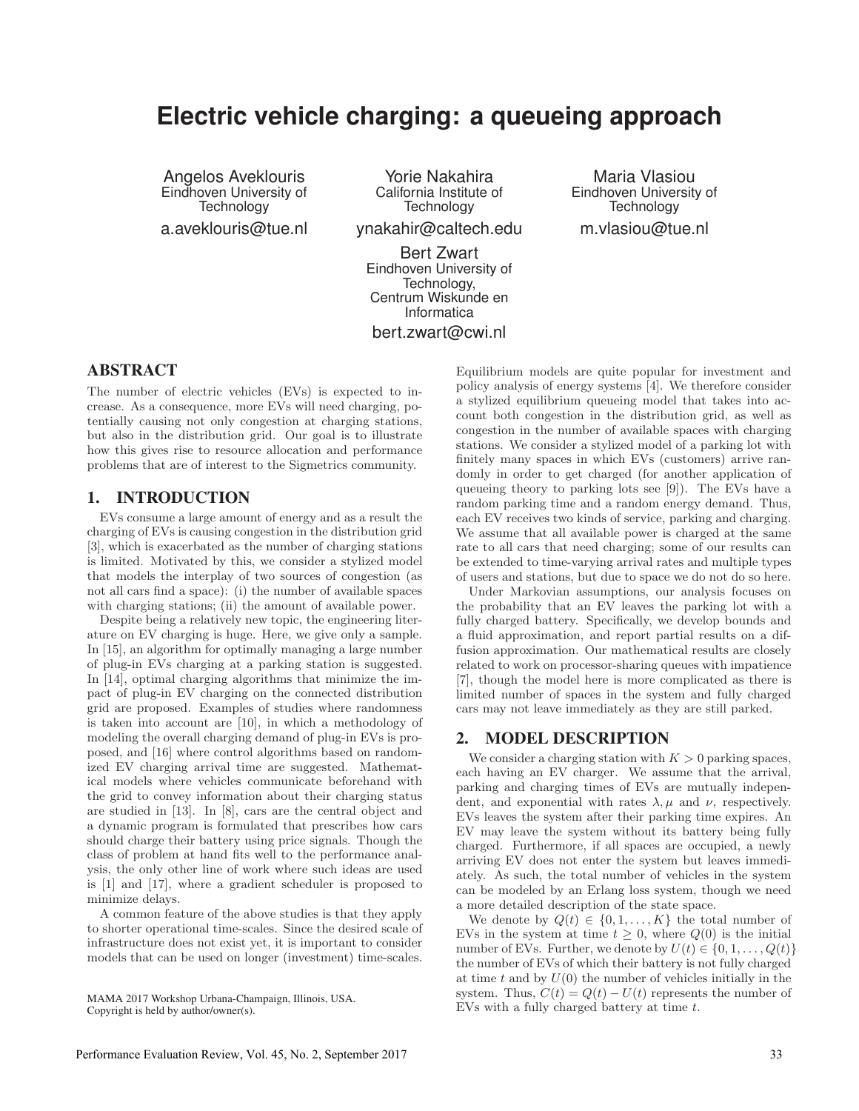# **Electric vehicle charging: a queueing approach**

Angelos Aveklouris Eindhoven University of **Technology** a.aveklouris@tue.nl

Yorie Nakahira California Institute of **Technology** 

ynakahir@caltech.edu

Bert Zwart Eindhoven University of Technology, Centrum Wiskunde en Informatica bert.zwart@cwi.nl

Maria Vlasiou Eindhoven University of **Technology** m.vlasiou@tue.nl

## ABSTRACT

The number of electric vehicles (EVs) is expected to increase. As a consequence, more EVs will need charging, potentially causing not only congestion at charging stations, but also in the distribution grid. Our goal is to illustrate how this gives rise to resource allocation and performance problems that are of interest to the Sigmetrics community.

#### 1. INTRODUCTION

EVs consume a large amount of energy and as a result the charging of EVs is causing congestion in the distribution grid [3], which is exacerbated as the number of charging stations is limited. Motivated by this, we consider a stylized model that models the interplay of two sources of congestion (as not all cars find a space): (i) the number of available spaces with charging stations; (ii) the amount of available power.

Despite being a relatively new topic, the engineering literature on EV charging is huge. Here, we give only a sample. In [15], an algorithm for optimally managing a large number of plug-in EVs charging at a parking station is suggested. In [14], optimal charging algorithms that minimize the impact of plug-in EV charging on the connected distribution grid are proposed. Examples of studies where randomness is taken into account are [10], in which a methodology of modeling the overall charging demand of plug-in EVs is proposed, and [16] where control algorithms based on randomized EV charging arrival time are suggested. Mathematical models where vehicles communicate beforehand with the grid to convey information about their charging status are studied in [13]. In [8], cars are the central object and a dynamic program is formulated that prescribes how cars should charge their battery using price signals. Though the class of problem at hand fits well to the performance analysis, the only other line of work where such ideas are used is [1] and [17], where a gradient scheduler is proposed to minimize delays.

A common feature of the above studies is that they apply to shorter operational time-scales. Since the desired scale of infrastructure does not exist yet, it is important to consider models that can be used on longer (investment) time-scales.

MAMA 2017 Workshop Urbana-Champaign, Illinois, USA. Copyright is held by author/owner(s).

Equilibrium models are quite popular for investment and policy analysis of energy systems [4]. We therefore consider a stylized equilibrium queueing model that takes into account both congestion in the distribution grid, as well as congestion in the number of available spaces with charging stations. We consider a stylized model of a parking lot with finitely many spaces in which EVs (customers) arrive randomly in order to get charged (for another application of queueing theory to parking lots see [9]). The EVs have a random parking time and a random energy demand. Thus, each EV receives two kinds of service, parking and charging. We assume that all available power is charged at the same rate to all cars that need charging; some of our results can be extended to time-varying arrival rates and multiple types of users and stations, but due to space we do not do so here.

Under Markovian assumptions, our analysis focuses on the probability that an EV leaves the parking lot with a fully charged battery. Specifically, we develop bounds and a fluid approximation, and report partial results on a diffusion approximation. Our mathematical results are closely related to work on processor-sharing queues with impatience [7], though the model here is more complicated as there is limited number of spaces in the system and fully charged cars may not leave immediately as they are still parked.

#### 2. MODEL DESCRIPTION

We consider a charging station with  $K > 0$  parking spaces, each having an EV charger. We assume that the arrival, parking and charging times of EVs are mutually independent, and exponential with rates  $\lambda, \mu$  and  $\nu$ , respectively. EVs leaves the system after their parking time expires. An EV may leave the system without its battery being fully charged. Furthermore, if all spaces are occupied, a newly arriving EV does not enter the system but leaves immediately. As such, the total number of vehicles in the system can be modeled by an Erlang loss system, though we need a more detailed description of the state space.

We denote by  $Q(t) \in \{0, 1, \ldots, K\}$  the total number of EVs in the system at time  $t \geq 0$ , where  $Q(0)$  is the initial number of EVs. Further, we denote by  $U(t) \in \{0, 1, ..., Q(t)\}\$ the number of EVs of which their battery is not fully charged at time t and by  $U(0)$  the number of vehicles initially in the system. Thus,  $C(t) = Q(t) - U(t)$  represents the number of EVs with a fully charged battery at time t.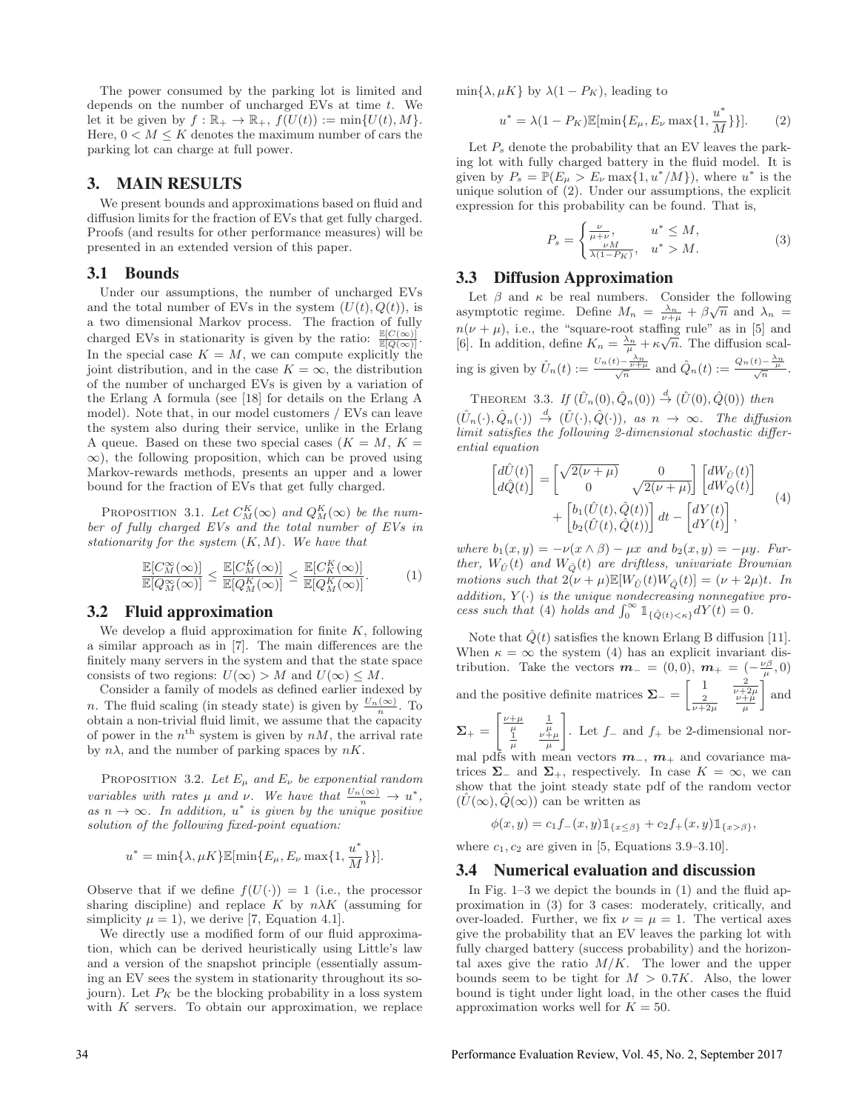The power consumed by the parking lot is limited and depends on the number of uncharged EVs at time  $t$ . We let it be given by  $f : \mathbb{R}_+ \to \mathbb{R}_+$ ,  $f(U(t)) := \min\{U(t), M\}.$ Here,  $0 < M \leq K$  denotes the maximum number of cars the parking lot can charge at full power.

### 3. MAIN RESULTS

We present bounds and approximations based on fluid and diffusion limits for the fraction of EVs that get fully charged. Proofs (and results for other performance measures) will be presented in an extended version of this paper.

#### 3.1 Bounds

Under our assumptions, the number of uncharged EVs and the total number of EVs in the system  $(U(t), Q(t))$ , is a two dimensional Markov process. The fraction of fully charged EVs in stationarity is given by the ratio:  $\frac{\mathbb{E}[C(\infty)]}{\mathbb{E}[Q(\infty)]}$ . In the special case  $K = M$ , we can compute explicitly the joint distribution, and in the case  $K = \infty$ , the distribution of the number of uncharged EVs is given by a variation of the Erlang A formula (see [18] for details on the Erlang A model). Note that, in our model customers / EVs can leave the system also during their service, unlike in the Erlang A queue. Based on these two special cases  $(K = M, K =$  $\infty$ ), the following proposition, which can be proved using Markov-rewards methods, presents an upper and a lower bound for the fraction of EVs that get fully charged.

PROPOSITION 3.1. Let  $C_M^K(\infty)$  and  $Q_M^K(\infty)$  be the number of fully charged EVs and the total number of EVs in stationarity for the system  $(K, M)$ . We have that

$$
\frac{\mathbb{E}[C_M^{\infty}(\infty)]}{\mathbb{E}[Q_M^{\infty}(\infty)]} \le \frac{\mathbb{E}[C_M^K(\infty)]}{\mathbb{E}[Q_M^K(\infty)]} \le \frac{\mathbb{E}[C_K^K(\infty)]}{\mathbb{E}[Q_M^K(\infty)]}.
$$
 (1)

#### 3.2 Fluid approximation

We develop a fluid approximation for finite  $K$ , following a similar approach as in [7]. The main differences are the finitely many servers in the system and that the state space consists of two regions:  $U(\infty) > M$  and  $U(\infty) \leq M$ .

Consider a family of models as defined earlier indexed by *n*. The fluid scaling (in steady state) is given by  $\frac{U_n(\infty)}{n}$ . To obtain a non-trivial fluid limit, we assume that the capacity of power in the  $n^{\text{th}}$  system is given by  $nM$ , the arrival rate by  $n\lambda$ , and the number of parking spaces by  $nK$ .

PROPOSITION 3.2. Let  $E_{\mu}$  and  $E_{\nu}$  be exponential random variables with rates  $\mu$  and  $\nu$ . We have that  $\frac{U_n(\infty)}{n} \to u^*$ , as  $n \to \infty$ . In addition,  $u^*$  is given by the unique positive solution of the following fixed-point equation:

$$
u^* = \min\{\lambda, \mu K\} \mathbb{E}[\min\{E_{\mu}, E_{\nu} \max\{1, \frac{u^*}{M}\}\}].
$$

Observe that if we define  $f(U(\cdot)) = 1$  (i.e., the processor sharing discipline) and replace K by  $n\lambda K$  (assuming for simplicity  $\mu = 1$ , we derive [7, Equation 4.1].

We directly use a modified form of our fluid approximation, which can be derived heuristically using Little's law and a version of the snapshot principle (essentially assuming an EV sees the system in stationarity throughout its sojourn). Let  $P_K$  be the blocking probability in a loss system with  $K$  servers. To obtain our approximation, we replace  $\min\{\lambda, \mu K\}$  by  $\lambda(1 - P_K)$ , leading to

$$
u^* = \lambda (1 - P_K) \mathbb{E}[\min\{E_{\mu}, E_{\nu} \max\{1, \frac{u^*}{M}\}\}].
$$
 (2)

Let  $P_s$  denote the probability that an EV leaves the parking lot with fully charged battery in the fluid model. It is given by  $P_s = \mathbb{P}(E_\mu > E_\nu \max\{1, u^*/M\})$ , where  $u^*$  is the unique solution of (2). Under our assumptions, the explicit expression for this probability can be found. That is,

$$
P_s = \begin{cases} \frac{\nu}{\mu + \nu}, & u^* \le M, \\ \frac{\nu M}{\lambda (1 - P_K)}, & u^* > M. \end{cases} \tag{3}
$$

#### 3.3 Diffusion Approximation

Let  $\beta$  and  $\kappa$  be real numbers. Consider the following asymptotic regime. Define  $M_n = \frac{\lambda_n}{\nu + \mu} + \beta \sqrt{n}$  and  $\lambda_n =$  $n(\nu + \mu)$ , i.e., the "square-root staffing rule" as in [5] and [6]. In addition, define  $K_n = \frac{\lambda_n}{\mu} + \kappa \sqrt{n}$ . The diffusion scaling is given by  $\hat{U}_n(t) := \frac{U_n(t) - \frac{\lambda_n}{\nu + \mu}}{\sqrt{n}}$  and  $\hat{Q}_n(t) := \frac{Q_n(t) - \frac{\lambda_n}{\mu}}{\sqrt{n}}$ .

THEOREM 3.3. If  $(\hat{U}_n(0), \hat{Q}_n(0)) \stackrel{d}{\rightarrow} (\hat{U}(0), \hat{Q}(0))$  then  $(\hat{U}_n(\cdot), \hat{Q}_n(\cdot)) \stackrel{d}{\rightarrow} (\hat{U}(\cdot), \hat{Q}(\cdot)),$  as  $n \rightarrow \infty$ . The diffusion limit satisfies the following 2-dimensional stochastic differential equation

$$
\begin{bmatrix} d\hat{U}(t) \\ d\hat{Q}(t) \end{bmatrix} = \begin{bmatrix} \sqrt{2(\nu + \mu)} & 0 \\ 0 & \sqrt{2(\nu + \mu)} \end{bmatrix} \begin{bmatrix} dW_{\hat{U}}(t) \\ dW_{\hat{Q}}(t) \end{bmatrix} + \begin{bmatrix} b_1(\hat{U}(t), \hat{Q}(t)) \\ b_2(\hat{U}(t), \hat{Q}(t)) \end{bmatrix} dt - \begin{bmatrix} dY(t) \\ dY(t) \end{bmatrix},
$$
\n(4)

where  $b_1(x, y) = -\nu(x \wedge \beta) - \mu x$  and  $b_2(x, y) = -\mu y$ . Further,  $W_{\hat{U}}(t)$  and  $W_{\hat{O}}(t)$  are driftless, univariate Brownian motions such that  $2(\nu + \mu)\mathbb{E}[W_{\hat{\Pi}}(t)W_{\hat{\Omega}}(t)] = (\nu + 2\mu)t$ . In addition,  $Y(\cdot)$  is the unique nondecreasing nonnegative process such that (4) holds and  $\int_0^\infty \mathbb{1}_{\{\hat{Q}(t)<\kappa\}} dY(t)=0.$ 

Note that  $\hat{Q}(t)$  satisfies the known Erlang B diffusion [11]. When  $\kappa = \infty$  the system (4) has an explicit invariant distribution. Take the vectors  $\mathbf{m}_{-} = (0, 0), \mathbf{m}_{+} = (-\frac{\nu \beta}{\mu}, 0)$ and the positive definite matrices  $\Sigma = \begin{bmatrix} 1 & \frac{2}{\nu+2\mu} \\ \frac{2}{\nu+2\mu} & \frac{\nu+\mu}{\mu} \end{bmatrix}$ | and 1

 $\Sigma_+ =$  $\begin{bmatrix} \frac{\nu+\mu}{\mu} & \frac{1}{\mu} \\ \frac{1}{\mu} & \frac{\nu+\mu}{\mu} \end{bmatrix}$ . Let  $f_$  and  $f_+$  be 2-dimensional nor-

mal pdfs with mean vectors *m*−, *m*<sup>+</sup> and covariance matrices  $\Sigma$ <sub>−</sub> and  $\Sigma$ <sub>+</sub>, respectively. In case  $K = \infty$ , we can show that the joint steady state pdf of the random vector  $(\hat{U}(\infty), \hat{Q}(\infty))$  can be written as

$$
\phi(x,y) = c_1 f_-(x,y) \mathbb{1}_{\{x \le \beta\}} + c_2 f_+(x,y) \mathbb{1}_{\{x > \beta\}},
$$

where  $c_1, c_2$  are given in [5, Equations 3.9–3.10].

### 3.4 Numerical evaluation and discussion

In Fig. 1–3 we depict the bounds in (1) and the fluid approximation in (3) for 3 cases: moderately, critically, and over-loaded. Further, we fix  $\nu = \mu = 1$ . The vertical axes give the probability that an EV leaves the parking lot with fully charged battery (success probability) and the horizontal axes give the ratio  $M/K$ . The lower and the upper bounds seem to be tight for  $M > 0.7K$ . Also, the lower bound is tight under light load, in the other cases the fluid approximation works well for  $K = 50$ .